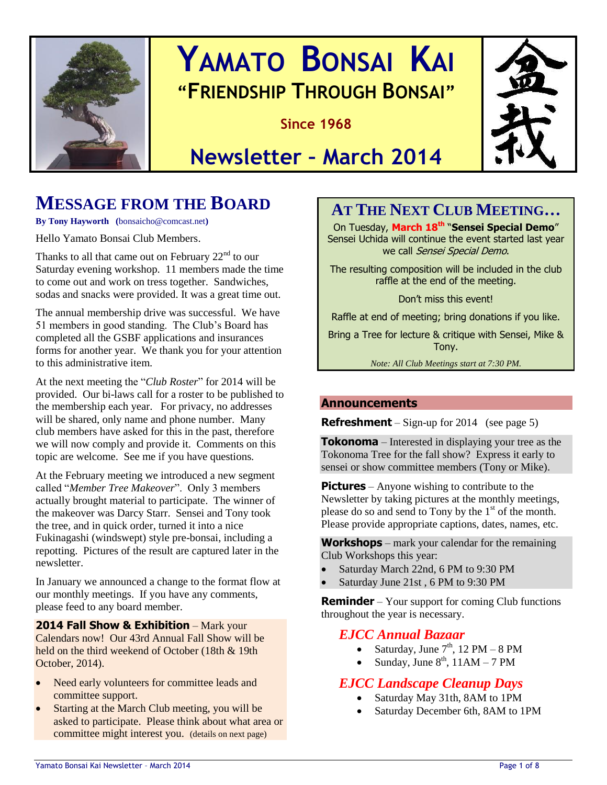

# **YAMATO BONSAI KAI "FRIENDSHIP THROUGH BONSAI"**

**Since 1968**



# **Newsletter – March 2014**

# **MESSAGE FROM THE BOARD**

**By Tony Hayworth (**bonsaicho@comcast.net**)**

Hello Yamato Bonsai Club Members.

Thanks to all that came out on February  $22<sup>nd</sup>$  to our Saturday evening workshop. 11 members made the time to come out and work on tress together. Sandwiches, sodas and snacks were provided. It was a great time out.

The annual membership drive was successful. We have 51 members in good standing. The Club's Board has completed all the GSBF applications and insurances forms for another year. We thank you for your attention to this administrative item.

At the next meeting the "*Club Roster*" for 2014 will be provided. Our bi-laws call for a roster to be published to the membership each year. For privacy, no addresses will be shared, only name and phone number. Many club members have asked for this in the past, therefore we will now comply and provide it. Comments on this topic are welcome. See me if you have questions.

At the February meeting we introduced a new segment called "*Member Tree Makeover*". Only 3 members actually brought material to participate. The winner of the makeover was Darcy Starr. Sensei and Tony took the tree, and in quick order, turned it into a nice Fukinagashi (windswept) style pre-bonsai, including a repotting. Pictures of the result are captured later in the newsletter.

In January we announced a change to the format flow at our monthly meetings. If you have any comments, please feed to any board member.

### **2014 Fall Show & Exhibition** – Mark your

Calendars now! Our 43rd Annual Fall Show will be held on the third weekend of October (18th & 19th October, 2014).

- Need early volunteers for committee leads and committee support.
- Starting at the March Club meeting, you will be asked to participate. Please think about what area or committee might interest you. (details on next page)

# **AT THE NEXT CLUB MEETING…**

On Tuesday, **March 18th** "**Sensei Special Demo**" Sensei Uchida will continue the event started last year we call Sensei Special Demo.

The resulting composition will be included in the club raffle at the end of the meeting.

Don't miss this event!

Raffle at end of meeting; bring donations if you like.

Bring a Tree for lecture & critique with Sensei, Mike & Tony.

*Note: All Club Meetings start at 7:30 PM.*

### **Announcements**

**Refreshment** – Sign-up for 2014 (see page 5)

**Tokonoma** – Interested in displaying your tree as the Tokonoma Tree for the fall show? Express it early to sensei or show committee members (Tony or Mike).

**Pictures** – Anyone wishing to contribute to the Newsletter by taking pictures at the monthly meetings, please do so and send to Tony by the  $1<sup>st</sup>$  of the month. Please provide appropriate captions, dates, names, etc.

**Workshops** – mark your calendar for the remaining Club Workshops this year:

- Saturday March 22nd, 6 PM to 9:30 PM
- Saturday June 21st , 6 PM to 9:30 PM

**Reminder** – Your support for coming Club functions throughout the year is necessary.

## *EJCC Annual Bazaar*

- Saturday, June  $7<sup>th</sup>$ , 12 PM 8 PM
- Sunday, June  $8<sup>th</sup>$ , 11AM 7 PM

## *EJCC Landscape Cleanup Days*

- Saturday May 31th, 8AM to 1PM
- Saturday December 6th, 8AM to 1PM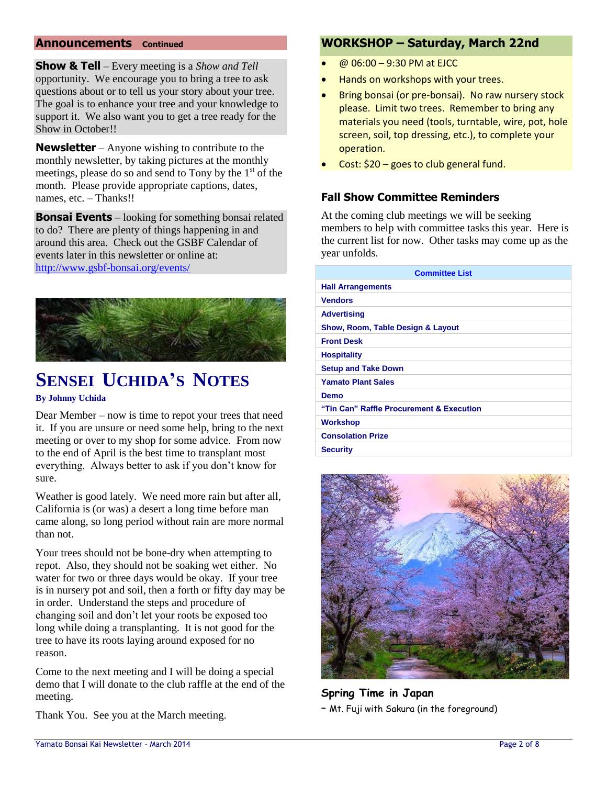### **Announcements Continued**

**Show & Tell** – Every meeting is a *Show and Tell* opportunity. We encourage you to bring a tree to ask questions about or to tell us your story about your tree. The goal is to enhance your tree and your knowledge to support it. We also want you to get a tree ready for the Show in October!!

**Newsletter** – Anyone wishing to contribute to the monthly newsletter, by taking pictures at the monthly meetings, please do so and send to Tony by the  $1<sup>st</sup>$  of the month. Please provide appropriate captions, dates, names, etc. – Thanks!!

**Bonsai Events** – looking for something bonsai related to do? There are plenty of things happening in and around this area. Check out the GSBF Calendar of events later in this newsletter or online at: <http://www.gsbf-bonsai.org/events/>



# **SENSEI UCHIDA'S NOTES**

#### **By Johnny Uchida**

Dear Member – now is time to repot your trees that need it. If you are unsure or need some help, bring to the next meeting or over to my shop for some advice. From now to the end of April is the best time to transplant most everything. Always better to ask if you don't know for sure.

Weather is good lately. We need more rain but after all, California is (or was) a desert a long time before man came along, so long period without rain are more normal than not.

Your trees should not be bone-dry when attempting to repot. Also, they should not be soaking wet either. No water for two or three days would be okay. If your tree is in nursery pot and soil, then a forth or fifty day may be in order. Understand the steps and procedure of changing soil and don't let your roots be exposed too long while doing a transplanting. It is not good for the tree to have its roots laying around exposed for no reason.

Come to the next meeting and I will be doing a special demo that I will donate to the club raffle at the end of the meeting.

Thank You. See you at the March meeting.

## **WORKSHOP – Saturday, March 22nd**

- @ 06:00 9:30 PM at EJCC
- Hands on workshops with your trees.
- Bring bonsai (or pre-bonsai). No raw nursery stock please. Limit two trees. Remember to bring any materials you need (tools, turntable, wire, pot, hole screen, soil, top dressing, etc.), to complete your operation.
- Cost: \$20 goes to club general fund.

## **Fall Show Committee Reminders**

At the coming club meetings we will be seeking members to help with committee tasks this year. Here is the current list for now. Other tasks may come up as the year unfolds.

| <b>Committee List</b>                    |
|------------------------------------------|
| <b>Hall Arrangements</b>                 |
| <b>Vendors</b>                           |
| <b>Advertising</b>                       |
| Show, Room, Table Design & Layout        |
| <b>Front Desk</b>                        |
| <b>Hospitality</b>                       |
| <b>Setup and Take Down</b>               |
| <b>Yamato Plant Sales</b>                |
| Demo                                     |
| "Tin Can" Raffle Procurement & Execution |
| <b>Workshop</b>                          |
| <b>Consolation Prize</b>                 |
| <b>Security</b>                          |



**Spring Time in Japan**  – Mt. Fuji with Sakura (in the foreground)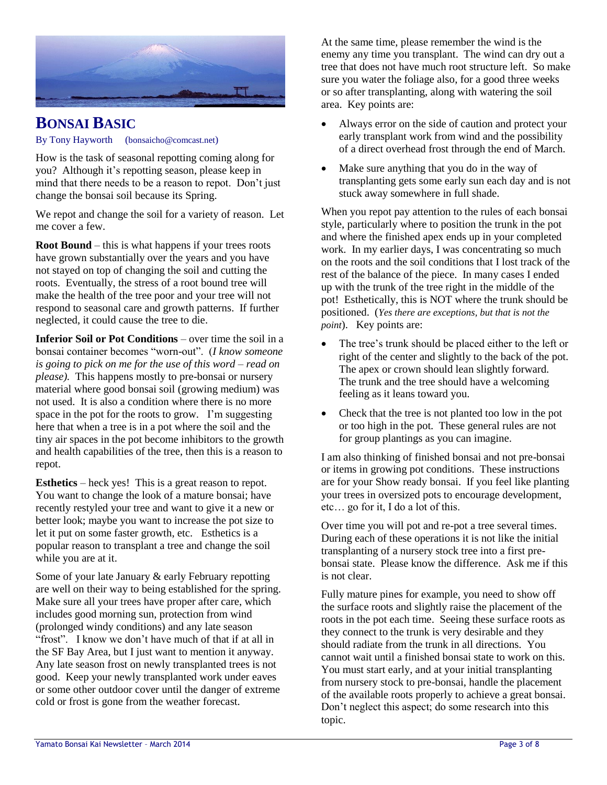

## **BONSAI BASIC**

#### By Tony Hayworth (bonsaicho@comcast.net)

How is the task of seasonal repotting coming along for you? Although it's repotting season, please keep in mind that there needs to be a reason to repot. Don't just change the bonsai soil because its Spring.

We repot and change the soil for a variety of reason. Let me cover a few.

**Root Bound** – this is what happens if your trees roots have grown substantially over the years and you have not stayed on top of changing the soil and cutting the roots. Eventually, the stress of a root bound tree will make the health of the tree poor and your tree will not respond to seasonal care and growth patterns. If further neglected, it could cause the tree to die.

**Inferior Soil or Pot Conditions** – over time the soil in a bonsai container becomes "worn-out". (*I know someone is going to pick on me for the use of this word* – *read on please).* This happens mostly to pre-bonsai or nursery material where good bonsai soil (growing medium) was not used. It is also a condition where there is no more space in the pot for the roots to grow. I'm suggesting here that when a tree is in a pot where the soil and the tiny air spaces in the pot become inhibitors to the growth and health capabilities of the tree, then this is a reason to repot.

**Esthetics** – heck yes! This is a great reason to repot. You want to change the look of a mature bonsai; have recently restyled your tree and want to give it a new or better look; maybe you want to increase the pot size to let it put on some faster growth, etc. Esthetics is a popular reason to transplant a tree and change the soil while you are at it.

Some of your late January & early February repotting are well on their way to being established for the spring. Make sure all your trees have proper after care, which includes good morning sun, protection from wind (prolonged windy conditions) and any late season "frost". I know we don't have much of that if at all in the SF Bay Area, but I just want to mention it anyway. Any late season frost on newly transplanted trees is not good. Keep your newly transplanted work under eaves or some other outdoor cover until the danger of extreme cold or frost is gone from the weather forecast.

At the same time, please remember the wind is the enemy any time you transplant. The wind can dry out a tree that does not have much root structure left. So make sure you water the foliage also, for a good three weeks or so after transplanting, along with watering the soil area. Key points are:

- Always error on the side of caution and protect your early transplant work from wind and the possibility of a direct overhead frost through the end of March.
- Make sure anything that you do in the way of transplanting gets some early sun each day and is not stuck away somewhere in full shade.

When you repot pay attention to the rules of each bonsai style, particularly where to position the trunk in the pot and where the finished apex ends up in your completed work. In my earlier days, I was concentrating so much on the roots and the soil conditions that I lost track of the rest of the balance of the piece. In many cases I ended up with the trunk of the tree right in the middle of the pot! Esthetically, this is NOT where the trunk should be positioned. (*Yes there are exceptions, but that is not the point*). Key points are:

- The tree's trunk should be placed either to the left or right of the center and slightly to the back of the pot. The apex or crown should lean slightly forward. The trunk and the tree should have a welcoming feeling as it leans toward you.
- Check that the tree is not planted too low in the pot or too high in the pot. These general rules are not for group plantings as you can imagine.

I am also thinking of finished bonsai and not pre-bonsai or items in growing pot conditions. These instructions are for your Show ready bonsai. If you feel like planting your trees in oversized pots to encourage development, etc… go for it, I do a lot of this.

Over time you will pot and re-pot a tree several times. During each of these operations it is not like the initial transplanting of a nursery stock tree into a first prebonsai state. Please know the difference. Ask me if this is not clear.

Fully mature pines for example, you need to show off the surface roots and slightly raise the placement of the roots in the pot each time. Seeing these surface roots as they connect to the trunk is very desirable and they should radiate from the trunk in all directions. You cannot wait until a finished bonsai state to work on this. You must start early, and at your initial transplanting from nursery stock to pre-bonsai, handle the placement of the available roots properly to achieve a great bonsai. Don't neglect this aspect; do some research into this topic.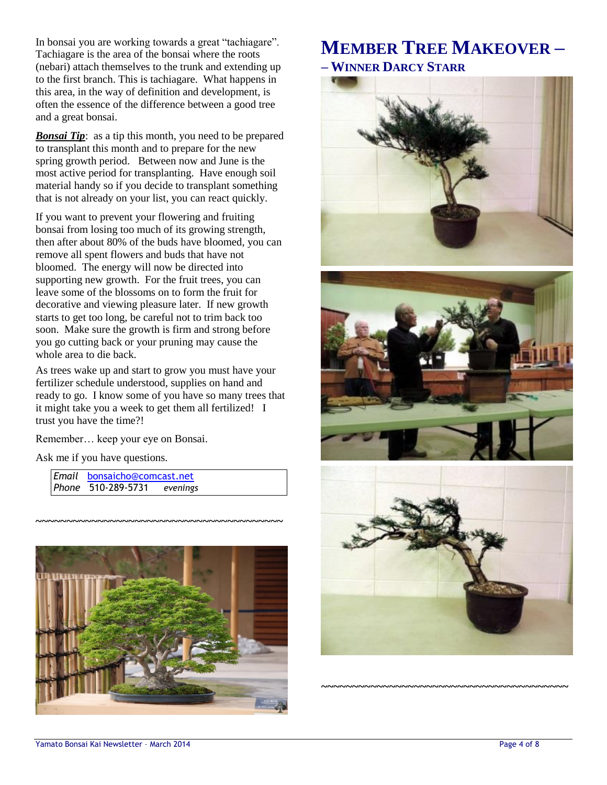In bonsai you are working towards a great "tachiagare". Tachiagare is the area of the bonsai where the roots (nebari) attach themselves to the trunk and extending up to the first branch. This is tachiagare. What happens in this area, in the way of definition and development, is often the essence of the difference between a good tree and a great bonsai.

**Bonsai Tip**: as a tip this month, you need to be prepared to transplant this month and to prepare for the new spring growth period. Between now and June is the most active period for transplanting. Have enough soil material handy so if you decide to transplant something that is not already on your list, you can react quickly.

If you want to prevent your flowering and fruiting bonsai from losing too much of its growing strength, then after about 80% of the buds have bloomed, you can remove all spent flowers and buds that have not bloomed. The energy will now be directed into supporting new growth. For the fruit trees, you can leave some of the blossoms on to form the fruit for decorative and viewing pleasure later. If new growth starts to get too long, be careful not to trim back too soon. Make sure the growth is firm and strong before you go cutting back or your pruning may cause the whole area to die back.

As trees wake up and start to grow you must have your fertilizer schedule understood, supplies on hand and ready to go. I know some of you have so many trees that it might take you a week to get them all fertilized! I trust you have the time?!

Remember… keep your eye on Bonsai.

Ask me if you have questions.

*Email* [bonsaicho@comcast.net](mailto:bonsaicho@comcast.net)  *Phone* 510-289-5731 *evenings*



**~~~~~~~~~~~~~~~~~~~~~~~~~~~~~~~~~~~~~~~~**

# **MEMBER TREE MAKEOVER – – WINNER DARCY STARR**







**~~~~~~~~~~~~~~~~~~~~~~~~~~~~~~~~~~~~~~~~**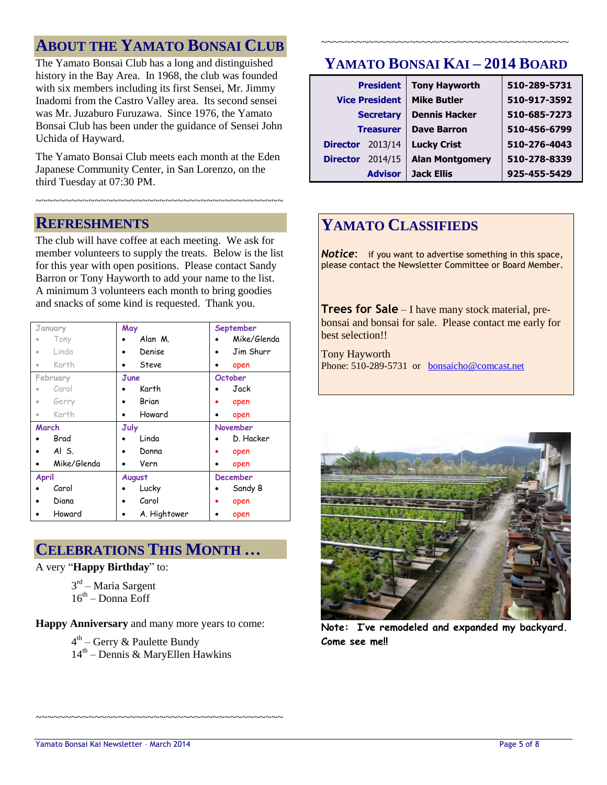# **ABOUT THE YAMATO BONSAI CLUB**

The Yamato Bonsai Club has a long and distinguished history in the Bay Area. In 1968, the club was founded with six members including its first Sensei, Mr. Jimmy Inadomi from the Castro Valley area. Its second sensei was Mr. Juzaburo Furuzawa. Since 1976, the Yamato Bonsai Club has been under the guidance of Sensei John Uchida of Hayward.

The Yamato Bonsai Club meets each month at the Eden Japanese Community Center, in San Lorenzo, on the third Tuesday at 07:30 PM.

~~~~~~~~~~~~~~~~~~~~~~~~~~~~~~~~~~~~~~~~~~

## **REFRESHMENTS**

The club will have coffee at each meeting. We ask for member volunteers to supply the treats. Below is the list for this year with open positions. Please contact Sandy Barron or Tony Hayworth to add your name to the list. A minimum 3 volunteers each month to bring goodies and snacks of some kind is requested. Thank you.

| January      | May          | September       |
|--------------|--------------|-----------------|
| Tony         | Alan M.      | Mike/Glenda     |
| Linda<br>ö   | Denise       | Jim Shurr       |
| Karth<br>۰   | Steve<br>٠   | open            |
| February     | June         | October         |
| Carol        | Karth        | Jack            |
| Gerry<br>ö   | Brian        | open<br>٠       |
| Karth<br>ö   | Howard       | open            |
| March        | July         | November        |
| Brad         | Linda        | D. Hacker       |
| Al S.        | Donna        | open            |
| Mike/Glenda  | Vern         | open            |
| <b>April</b> | August       | <b>December</b> |
| Carol        | Lucky        | Sandy B         |
| Diana        | Carol        | open            |
| Howard       | A. Hightower | open            |

## **CELEBRATIONS THIS MONTH …**

A very "**Happy Birthday**" to:

3<sup>rd</sup> – Maria Sargent  $16<sup>th</sup>$  – Donna Eoff

**Happy Anniversary** and many more years to come:

4<sup>th</sup> – Gerry & Paulette Bundy 14th – Dennis & MaryEllen Hawkins

~~~~~~~~~~~~~~~~~~~~~~~~~~~~~~~~~~~~~~~~~~

# **YAMATO BONSAI KAI – 2014 BOARD**

~~~~~~~~~~~~~~~~~~~~~~~~~~~~~~~~~~~~~~~~~~

|                 | <b>President</b>      | <b>Tony Hayworth</b>   | 510-289-5731 |
|-----------------|-----------------------|------------------------|--------------|
|                 | <b>Vice President</b> | <b>Mike Butler</b>     | 510-917-3592 |
|                 | <b>Secretary</b>      | <b>Dennis Hacker</b>   | 510-685-7273 |
|                 | <b>Treasurer</b>      | <b>Dave Barron</b>     | 510-456-6799 |
| <b>Director</b> | 2013/14               | <b>Lucky Crist</b>     | 510-276-4043 |
| <b>Director</b> | 2014/15               | <b>Alan Montgomery</b> | 510-278-8339 |
|                 | <b>Advisor</b>        | <b>Jack Ellis</b>      | 925-455-5429 |

# **YAMATO CLASSIFIEDS**

**Notice:** if you want to advertise something in this space, please contact the Newsletter Committee or Board Member.

**Trees for Sale** – I have many stock material, prebonsai and bonsai for sale. Please contact me early for best selection!!

Tony Hayworth Phone: 510-289-5731 or [bonsaicho@comcast.net](mailto:bonsaicho@comcast.net)



**Note: I've remodeled and expanded my backyard. Come see me!!**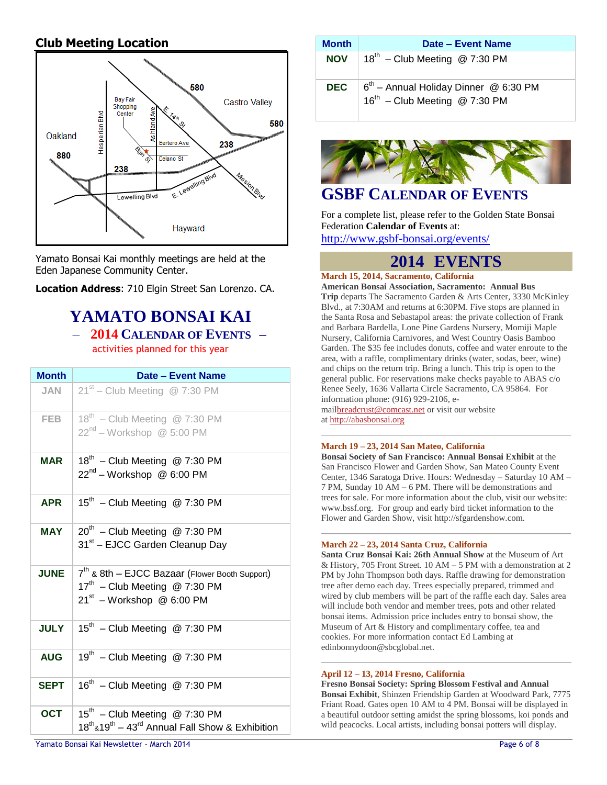## **Club Meeting Location**



Yamato Bonsai Kai monthly meetings are held at the Eden Japanese Community Center.

**Location Address**: 710 Elgin Street San Lorenzo. CA.

## **YAMATO BONSAI KAI** – **2014 CALENDAR OF EVENTS –**

activities planned for this year

| <b>Month</b> | Date - Event Name                                                                                                                         |
|--------------|-------------------------------------------------------------------------------------------------------------------------------------------|
| JAN          | $21st$ – Club Meeting @ 7:30 PM                                                                                                           |
| <b>FEB</b>   | $18^{th}$ – Club Meeting @ 7:30 PM<br>22 <sup>nd</sup> – Workshop @ 5:00 PM                                                               |
| MAR          | 18 <sup>th</sup> - Club Meeting @ 7:30 PM<br>$22^{nd}$ – Workshop @ 6:00 PM                                                               |
| <b>APR</b>   | $15^{th}$ – Club Meeting @ 7:30 PM                                                                                                        |
| <b>MAY</b>   | $20^{th}$ – Club Meeting @ 7:30 PM<br>31 <sup>st</sup> – EJCC Garden Cleanup Day                                                          |
| <b>JUNE</b>  | 7 <sup>th</sup> & 8th - EJCC Bazaar (Flower Booth Support)<br>17 <sup>th</sup> - Club Meeting @ 7:30 PM<br>$21^{st}$ – Workshop @ 6:00 PM |
| <b>JULY</b>  | $15^{th}$ – Club Meeting @ 7:30 PM                                                                                                        |
| <b>AUG</b>   | 19th - Club Meeting @ 7:30 PM                                                                                                             |
| <b>SEPT</b>  | 16 <sup>th</sup> - Club Meeting @ 7:30 PM                                                                                                 |
| <b>OCT</b>   | 15 <sup>th</sup> - Club Meeting @ 7:30 PM<br>$18^{\text{th}}$ &19 <sup>th</sup> – 43 <sup>rd</sup> Annual Fall Show & Exhibition          |

| Month      | Date – Event Name                                                                       |
|------------|-----------------------------------------------------------------------------------------|
| NOV        | $18^{th}$ – Club Meeting @ 7:30 PM                                                      |
| <b>DEC</b> | $6^{th}$ – Annual Holiday Dinner @ 6:30 PM<br>16 <sup>th</sup> - Club Meeting @ 7:30 PM |



## **GSBF CALENDAR OF EVENTS**

For a complete list, please refer to the Golden State Bonsai Federation **Calendar of Events** at:

<http://www.gsbf-bonsai.org/events/>

## **2014 EVENTS**

#### **March 15, 2014, Sacramento, California**

**American Bonsai Association, Sacramento: Annual Bus Trip** departs The Sacramento Garden & Arts Center, 3330 McKinley Blvd., at 7:30AM and returns at 6:30PM. Five stops are planned in the Santa Rosa and Sebastapol areas: the private collection of Frank and Barbara Bardella, Lone Pine Gardens Nursery, Momiji Maple Nursery, California Carnivores, and West Country Oasis Bamboo Garden. The \$35 fee includes donuts, coffee and water enroute to the area, with a raffle, complimentary drinks (water, sodas, beer, wine) and chips on the return trip. Bring a lunch. This trip is open to the general public. For reservations make checks payable to ABAS c/o Renee Seely, 1636 Vallarta Circle Sacramento, CA 95864. For information phone: (916) 929-2106, emai[lbreadcrust@comcast.net](mailto:breadcrust@comcast.net) or visit our website

at [http://abasbonsai.org](http://abasbonsai.org/)

#### **March 19 – 23, 2014 San Mateo, California**

**Bonsai Society of San Francisco: Annual Bonsai Exhibit** at the San Francisco Flower and Garden Show, San Mateo County Event Center, 1346 Saratoga Drive. Hours: Wednesday – Saturday 10 AM – 7 PM, Sunday 10 AM – 6 PM. There will be demonstrations and trees for sale. For more information about the club, visit our website: www.bssf.org. For group and early bird ticket information to the Flower and Garden Show, visit http://sfgardenshow.com.

#### **March 22 – 23, 2014 Santa Cruz, California**

**Santa Cruz Bonsai Kai: 26th Annual Show** at the Museum of Art & History, 705 Front Street. 10 AM – 5 PM with a demonstration at 2 PM by John Thompson both days. Raffle drawing for demonstration tree after demo each day. Trees especially prepared, trimmed and wired by club members will be part of the raffle each day. Sales area will include both vendor and member trees, pots and other related bonsai items. Admission price includes entry to bonsai show, the Museum of Art & History and complimentary coffee, tea and cookies. For more information contact Ed Lambing at edinbonnydoon@sbcglobal.net.

#### **April 12 – 13, 2014 Fresno, California**

**Fresno Bonsai Society: Spring Blossom Festival and Annual Bonsai Exhibit**, Shinzen Friendship Garden at Woodward Park, 7775 Friant Road. Gates open 10 AM to 4 PM. Bonsai will be displayed in a beautiful outdoor setting amidst the spring blossoms, koi ponds and wild peacocks. Local artists, including bonsai potters will display.

Yamato Bonsai Kai Newsletter - March 2014 **Page 6 of 8** and 2014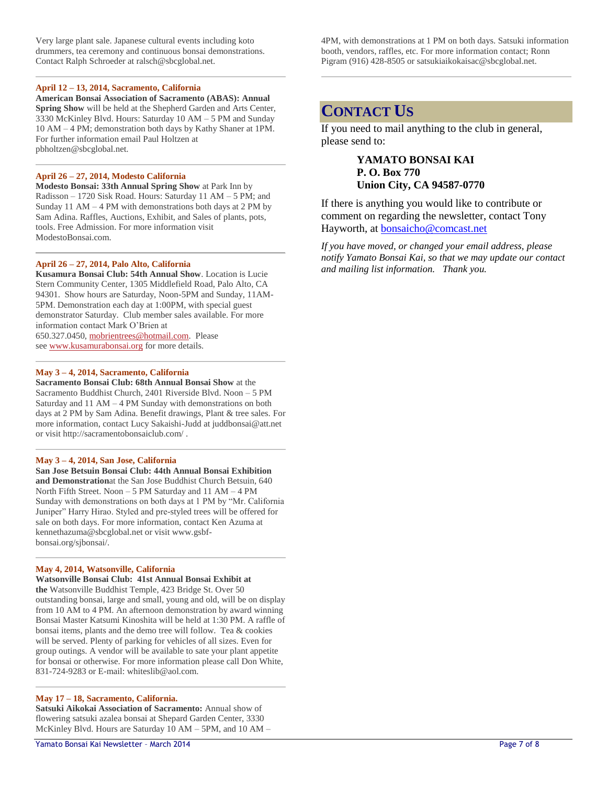Very large plant sale. Japanese cultural events including koto drummers, tea ceremony and continuous bonsai demonstrations. Contact Ralph Schroeder at ralsch@sbcglobal.net.

#### **April 12 – 13, 2014, Sacramento, California**

**American Bonsai Association of Sacramento (ABAS): Annual Spring Show** will be held at the Shepherd Garden and Arts Center, 3330 McKinley Blvd. Hours: Saturday 10 AM – 5 PM and Sunday 10 AM – 4 PM; demonstration both days by Kathy Shaner at 1PM. For further information email Paul Holtzen at pbholtzen@sbcglobal.net.

#### **April 26 – 27, 2014, Modesto California**

**Modesto Bonsai: 33th Annual Spring Show** at Park Inn by Radisson – 1720 Sisk Road. Hours: Saturday 11 AM – 5 PM; and Sunday 11 AM  $-4$  PM with demonstrations both days at 2 PM by Sam Adina. Raffles, Auctions, Exhibit, and Sales of plants, pots, tools. Free Admission. For more information visit ModestoBonsai.com.

#### **April 26 – 27, 2014, Palo Alto, California**

**Kusamura Bonsai Club: 54th Annual Show**. Location is Lucie Stern Community Center, 1305 Middlefield Road, Palo Alto, CA 94301. Show hours are Saturday, Noon-5PM and Sunday, 11AM-5PM. Demonstration each day at 1:00PM, with special guest demonstrator Saturday. Club member sales available. For more information contact Mark O'Brien at 650.327.0450, [mobrientrees@hotmail.com.](mailto:mobrientrees@hotmail.com) Please see [www.kusamurabonsai.org](http://www.kusamurabonsai.org/) for more details.

#### **May 3 – 4, 2014, Sacramento, California**

**Sacramento Bonsai Club: 68th Annual Bonsai Show** at the Sacramento Buddhist Church, 2401 Riverside Blvd. Noon – 5 PM Saturday and 11 AM – 4 PM Sunday with demonstrations on both days at 2 PM by Sam Adina. Benefit drawings, Plant & tree sales. For more information, contact Lucy Sakaishi-Judd at juddbonsai@att.net or visit http://sacramentobonsaiclub.com/ .

#### **May 3 – 4, 2014, San Jose, California**

**San Jose Betsuin Bonsai Club: 44th Annual Bonsai Exhibition and Demonstration**at the San Jose Buddhist Church Betsuin, 640 North Fifth Street. Noon – 5 PM Saturday and 11 AM – 4 PM Sunday with demonstrations on both days at 1 PM by "Mr. California Juniper" Harry Hirao. Styled and pre-styled trees will be offered for sale on both days. For more information, contact Ken Azuma at kennethazuma@sbcglobal.net or visit www.gsbfbonsai.org/sjbonsai/.

#### **May 4, 2014, Watsonville, California**

**Watsonville Bonsai Club: 41st Annual Bonsai Exhibit at the** Watsonville Buddhist Temple, 423 Bridge St. Over 50 outstanding bonsai, large and small, young and old, will be on display from 10 AM to 4 PM. An afternoon demonstration by award winning Bonsai Master Katsumi Kinoshita will be held at 1:30 PM. A raffle of bonsai items, plants and the demo tree will follow. Tea & cookies will be served. Plenty of parking for vehicles of all sizes. Even for group outings. A vendor will be available to sate your plant appetite for bonsai or otherwise. For more information please call Don White, 831-724-9283 or E-mail: whiteslib@aol.com.

#### **May 17 – 18, Sacramento, California.**

**Satsuki Aikokai Association of Sacramento:** Annual show of flowering satsuki azalea bonsai at Shepard Garden Center, 3330 McKinley Blvd. Hours are Saturday 10 AM – 5PM, and 10 AM – 4PM, with demonstrations at 1 PM on both days. Satsuki information booth, vendors, raffles, etc. For more information contact; Ronn Pigram (916) 428-8505 or satsukiaikokaisac@sbcglobal.net.

## **CONTACT US**

If you need to mail anything to the club in general, please send to:

#### **YAMATO BONSAI KAI P. O. Box 770 Union City, CA 94587-0770**

If there is anything you would like to contribute or comment on regarding the newsletter, contact Tony Hayworth, at [bonsaicho@comcast.net](mailto:bonsaicho@comcast.net)

*If you have moved, or changed your email address, please notify Yamato Bonsai Kai, so that we may update our contact and mailing list information. Thank you.*